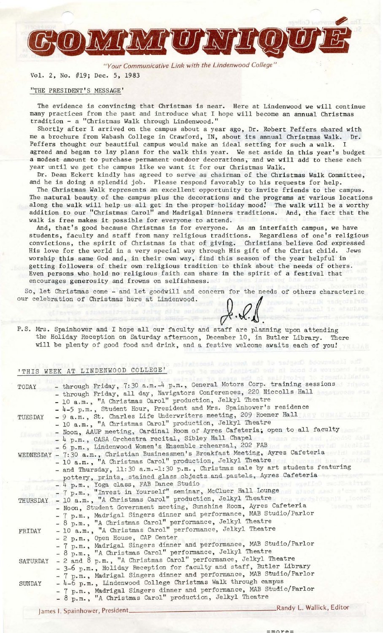*"Your Communicative Link with the Lindenwood College"* 

Vol. 2, No. #19; Dec. 5, 1983

TAY COAY CAOT

#### "THE PRESIDENT'S MESSAGE'

The evidence is convincing that Christmas is near. Here at Lindenwood we will continue many practices from the past and introduce what I hope will become an annual Christmas tradition - a "Christmas Walk through Lindenwood."

Shortly after I arrived on the campus about a year ago, Dr. Robert Peffers shared with me a brochure from Wabash College in Crawford, IN, about its annual Christmas Walk. Dr. Peffers thought our beautiful campus would make an ideal setting for such a walk. I agreed and began to lay plans for the walk this year. We set aside in this year's budget a modest amount to purchase permanent outdoor decorations, and we will add to these each year until we get the campus like we want it for our Christmas Walk.

Dr. Dean Eckert kindly has agreed to serve as chairman of the Christmas Walk Committee, and he is doing a splendid job. Please respond favorably to his requests for help.

The Christmas Walk represents an excellent opportunity to invite friends to the campus. The natural beauty of the campus plus the decorations and the programs at various locations along the walk will help us all get in the proper holiday mood! The walk will be a worthy addition to our "Christmas Carol" and Madrigal Dinners traditions. And, the fact that the walk is free makes it possible for everyone to attend.<br>And, that's good because Christmas is for everyone. As an interfaith campus, we have

And, that's good because Christmas is for everyone. students, faculty and staff from many religious traditions. Regardless of one's religious convictions, the spirit of Christmas is that of giving. Christians believe God expressed His love for the world in a very special way through His gift of the Christ child. Jews worship this same God and, in their own way, find this season of the year helpful in getting followers of their own religious tradition to think about the needs of others. Even persons who hold no religious faith can share in the spirit of a festival that encourages generosity and frowns on selfishness.

So, let Christmas come - and let goodwill and concern for the needs of others characterize<br>our celebration of Christmas here at Lindenwood.<br>  $\bigcap_{n=0}^{\infty}$ 

P.S. Mrs. Spainhower and I hope all our faculty and staff are planning upon attending the Holiday Reception on Saturday afternoon, December 10, in Butler Library. There will be plenty of good food and drink, and a festive welcome awaits each of you!

# 'THIS WEEK AT LINDENWOOD COLLEGE'

Anna Printer

| TODAY          | - through Friday, 7:30 a.m. -4 p.m., General Motors Corp. training sessions<br>- through Friday, all day, Navigators Conferences, 220 Niccolls Hall<br>- 10 a.m., "A Christmas Carol" production, Jelkyl Theatre<br>- 4-5 p.m., Student Hour, President and Mrs. Spainhower's residence                                                                                                            |
|----------------|----------------------------------------------------------------------------------------------------------------------------------------------------------------------------------------------------------------------------------------------------------------------------------------------------------------------------------------------------------------------------------------------------|
| <b>TUESDAY</b> | - 9 a.m., St. Charles Life Underwriters meeting, 209 Roemer Hall and manufacturer<br>- 10 a.m., "A Christmas Carol" production, Jelkyl Theatre                                                                                                                                                                                                                                                     |
| [ Dawell       | - Noon, AAUP meeting, Cardinal Room of Ayres Cafeteria; open to all faculty<br>- 4 p.m., CASA Orchestra recital, Sibley Hall Chapel<br>School, has been named a<br>- 6 p.m., Lindenwood Women's Ensemble rehearsal, 202 FAB                                                                                                                                                                        |
|                | WEDNESDAY - 7:30 a.m., Christian Businessmen's Breakfast Meeting, Ayres Cafeteria<br>6 Kwaizian Hil Baron Charo<br>- 10 a.m., "A Christmas Carol" production, Jelkyl Theatre<br>- and Thursday, 11:30 a.m.-1:30 p.m., Christmas sale by art students featuring                                                                                                                                     |
|                | pottery, prints, stained glass objects and pastels, Ayres Cafeteria<br>m.w DK-77 Ma anigniand eneries mouth-al<br>- 4 p.m., Yoga class, FAB Dance Studio<br>- 7 p.m., "Invest in Yourself" seminar, McCluer Hall Lounge                                                                                                                                                                            |
| THURSDAY       | - 10 a.m., "A Christmas Carol" production, Jelkyl Theatre and the state of the state of the state of the state of the state of the state of the state of the state of the state of the state of the state of the state of the<br>- Noon, Student Government meeting, Sunshine Room, Ayres Cafeteria<br>$\approx 6$ million<br>- 7 p.m., Madrigal Singers dinner and performance, MAB Studio/Parlor |
| FRIDAY         | - 8 p.m., "A Christmas Carol" performance, Jelkyl Theatre<br>- 10 a.m., "A Christmas Carol" performance, Jelkyl Theatre                                                                                                                                                                                                                                                                            |
|                | - 2 p.m., Open House, CAP Center<br>- 7 p.m., Madrigal Singers dinner and performance, MAB Studio/Parlor<br>- 8 p.m., "A Christmas Carol" performance, Jelkyl Theatre                                                                                                                                                                                                                              |
| SATURDAY       | - 2 and 8 p.m., "A Christmas Carol" performance, Jelkyl Theatre<br>- 3-6 p.m., Holiday Reception for faculty and staff, Butler Library                                                                                                                                                                                                                                                             |
| SUNDAY         | - 7 p.m., Madrigal Singers dinner and performance, MAB Studio/Parlor<br>- 4-6 p.m., Lindenwood College Christmas Walk through campus<br>- 7 p.m., Madrigal Singers dinner and performance, MAB Studio/Parlor<br>- 8 p.m., "A Christmas Carol" production, Jelkyl Theatre                                                                                                                           |
|                | and the same of the same of the same of the same of the same of the same of the same of the same of the same of the same of the same of the same of the same of the same of the same of the same of the same of the same of th                                                                                                                                                                     |

James I. Spainhower, President \_\_\_\_\_\_\_\_\_\_\_\_\_\_\_\_\_\_\_\_ Randy L. Wallick, Editor